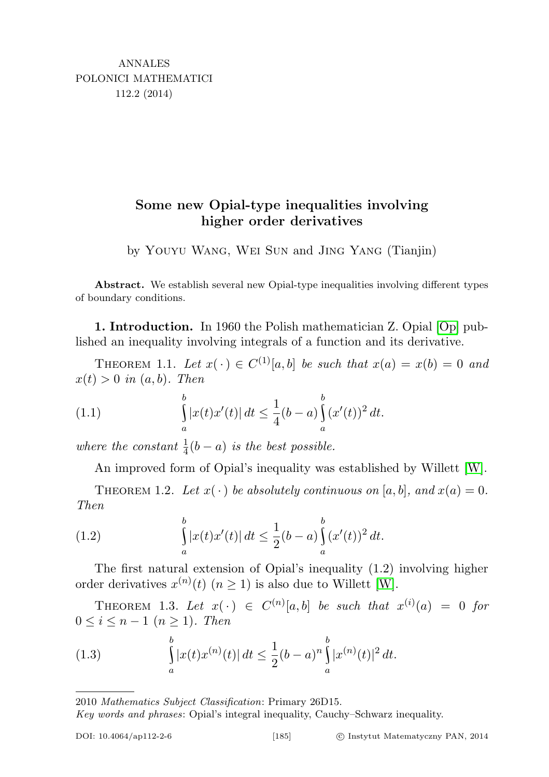## Some new Opial-type inequalities involving higher order derivatives

by Youyu Wang, Wei Sun and Jing Yang (Tianjin)

Abstract. We establish several new Opial-type inequalities involving different types of boundary conditions.

1. Introduction. In 1960 the Polish mathematician Z. Opial [\[Op\]](#page-7-0) published an inequality involving integrals of a function and its derivative.

THEOREM 1.1. Let  $x(\cdot) \in C^{(1)}[a, b]$  be such that  $x(a) = x(b) = 0$  and  $x(t) > 0$  in  $(a, b)$ . Then

(1.1) 
$$
\int_{a}^{b} |x(t)x'(t)| dt \leq \frac{1}{4} (b-a) \int_{a}^{b} (x'(t))^{2} dt.
$$

where the constant  $\frac{1}{4}(b-a)$  is the best possible.

An improved form of Opial's inequality was established by Willett [\[W\]](#page-8-0).

THEOREM 1.2. Let  $x(\cdot)$  be absolutely continuous on [a, b], and  $x(a) = 0$ . Then

(1.2) 
$$
\int_{a}^{b} |x(t)x'(t)| dt \leq \frac{1}{2}(b-a) \int_{a}^{b} (x'(t))^{2} dt.
$$

The first natural extension of Opial's inequality (1.2) involving higher order derivatives  $x^{(n)}(t)$   $(n \ge 1)$  is also due to Willett [\[W\]](#page-8-0).

THEOREM 1.3. Let  $x(\cdot) \in C^{(n)}[a,b]$  be such that  $x^{(i)}(a) = 0$  for  $0 \leq i \leq n-1 \ (n \geq 1)$ . Then

(1.3) 
$$
\int_{a}^{b} |x(t)x^{(n)}(t)| dt \leq \frac{1}{2} (b-a)^n \int_{a}^{b} |x^{(n)}(t)|^2 dt.
$$

2010 Mathematics Subject Classification: Primary 26D15.

Key words and phrases: Opial's integral inequality, Cauchy–Schwarz inequality.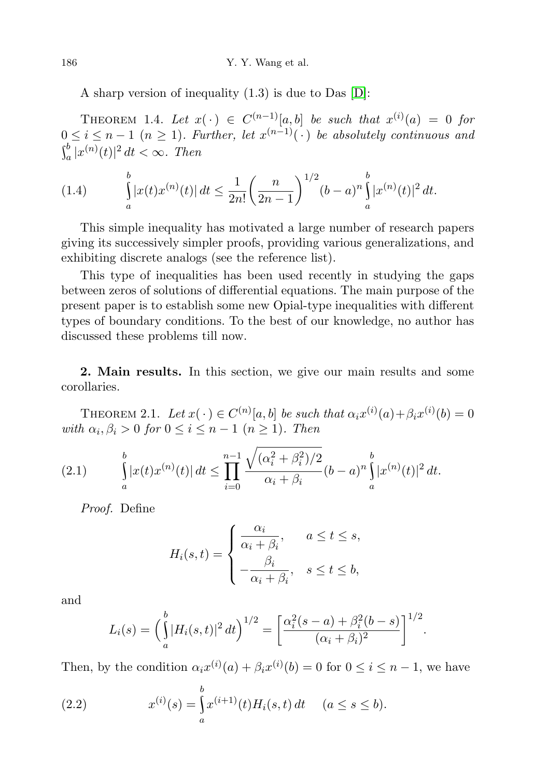A sharp version of inequality (1.3) is due to Das [\[D\]](#page-7-1):

THEOREM 1.4. Let  $x(\cdot) \in C^{(n-1)}[a,b]$  be such that  $x^{(i)}(a) = 0$  for  $0 \leq i \leq n-1$   $(n \geq 1)$ . Further, let  $x^{(n-1)}(\cdot)$  be absolutely continuous and  $\int_a^b |x^{(n)}(t)|^2 dt < \infty$ . Then

(1.4) 
$$
\int_{a}^{b} |x(t)x^{(n)}(t)| dt \leq \frac{1}{2n!} \left(\frac{n}{2n-1}\right)^{1/2} (b-a)^n \int_{a}^{b} |x^{(n)}(t)|^2 dt.
$$

This simple inequality has motivated a large number of research papers giving its successively simpler proofs, providing various generalizations, and exhibiting discrete analogs (see the reference list).

This type of inequalities has been used recently in studying the gaps between zeros of solutions of differential equations. The main purpose of the present paper is to establish some new Opial-type inequalities with different types of boundary conditions. To the best of our knowledge, no author has discussed these problems till now.

2. Main results. In this section, we give our main results and some corollaries.

<span id="page-1-0"></span>THEOREM 2.1. Let  $x(\cdot) \in C^{(n)}[a, b]$  be such that  $\alpha_i x^{(i)}(a) + \beta_i x^{(i)}(b) = 0$ with  $\alpha_i, \beta_i > 0$  for  $0 \leq i \leq n-1$   $(n \geq 1)$ . Then

$$
(2.1) \qquad \int\limits_a^b |x(t)x^{(n)}(t)| \, dt \le \prod_{i=0}^{n-1} \frac{\sqrt{(\alpha_i^2 + \beta_i^2)/2}}{\alpha_i + \beta_i} (b-a)^n \int\limits_a^b |x^{(n)}(t)|^2 \, dt.
$$

Proof. Define

$$
H_i(s,t) = \begin{cases} \frac{\alpha_i}{\alpha_i + \beta_i}, & a \le t \le s, \\ -\frac{\beta_i}{\alpha_i + \beta_i}, & s \le t \le b, \end{cases}
$$

and

$$
L_i(s) = \left(\int_a^b |H_i(s,t)|^2 dt\right)^{1/2} = \left[\frac{\alpha_i^2(s-a) + \beta_i^2(b-s)}{(\alpha_i + \beta_i)^2}\right]^{1/2}.
$$

Then, by the condition  $\alpha_i x^{(i)}(a) + \beta_i x^{(i)}(b) = 0$  for  $0 \le i \le n - 1$ , we have

(2.2) 
$$
x^{(i)}(s) = \int_{a}^{b} x^{(i+1)}(t) H_i(s, t) dt \quad (a \le s \le b).
$$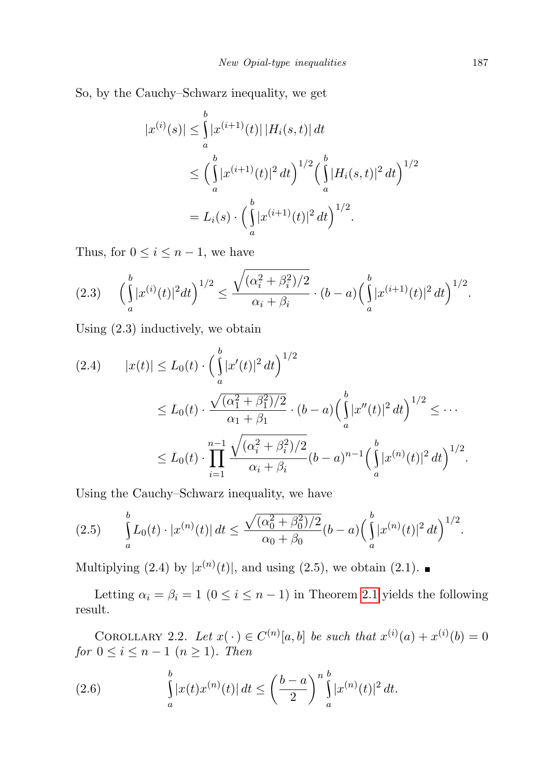So, by the Cauchy–Schwarz inequality, we get

$$
|x^{(i)}(s)| \leq \int_{a}^{b} |x^{(i+1)}(t)| |H_i(s,t)| dt
$$
  
\n
$$
\leq \left(\int_{a}^{b} |x^{(i+1)}(t)|^2 dt\right)^{1/2} \left(\int_{a}^{b} |H_i(s,t)|^2 dt\right)^{1/2}
$$
  
\n
$$
= L_i(s) \cdot \left(\int_{a}^{b} |x^{(i+1)}(t)|^2 dt\right)^{1/2}.
$$

Thus, for  $0 \leq i \leq n-1$ , we have

$$
(2.3) \quad \left(\int_a^b |x^{(i)}(t)|^2 dt\right)^{1/2} \le \frac{\sqrt{(\alpha_i^2 + \beta_i^2)/2}}{\alpha_i + \beta_i} \cdot (b-a) \left(\int_a^b |x^{(i+1)}(t)|^2 dt\right)^{1/2}.
$$

Using (2.3) inductively, we obtain

$$
(2.4) \qquad |x(t)| \le L_0(t) \cdot \left(\int_a^b |x'(t)|^2 dt\right)^{1/2}
$$
  
\n
$$
\le L_0(t) \cdot \frac{\sqrt{(\alpha_1^2 + \beta_1^2)/2}}{\alpha_1 + \beta_1} \cdot (b-a) \left(\int_a^b |x''(t)|^2 dt\right)^{1/2} \le \cdots
$$
  
\n
$$
\le L_0(t) \cdot \prod_{i=1}^{n-1} \frac{\sqrt{(\alpha_i^2 + \beta_i^2)/2}}{\alpha_i + \beta_i} (b-a)^{n-1} \left(\int_a^b |x^{(n)}(t)|^2 dt\right)^{1/2}.
$$

Using the Cauchy–Schwarz inequality, we have

$$
(2.5) \qquad \int\limits_a^b L_0(t) \cdot |x^{(n)}(t)| \, dt \le \frac{\sqrt{(\alpha_0^2 + \beta_0^2)/2}}{\alpha_0 + \beta_0} (b-a) \Big(\int\limits_a^b |x^{(n)}(t)|^2 \, dt\Big)^{1/2}.
$$

Multiplying (2.4) by  $|x^{(n)}(t)|$ , and using (2.5), we obtain (2.1).

Letting  $\alpha_i = \beta_i = 1$  ( $0 \le i \le n - 1$ ) in Theorem [2.1](#page-1-0) yields the following result.

COROLLARY 2.2. Let  $x(\cdot) \in C^{(n)}[a,b]$  be such that  $x^{(i)}(a) + x^{(i)}(b) = 0$ for  $0 \leq i \leq n-1$   $(n \geq 1)$ . Then

(2.6) 
$$
\int_{a}^{b} |x(t)x^{(n)}(t)| dt \leq \left(\frac{b-a}{2}\right)^{n} \int_{a}^{b} |x^{(n)}(t)|^{2} dt.
$$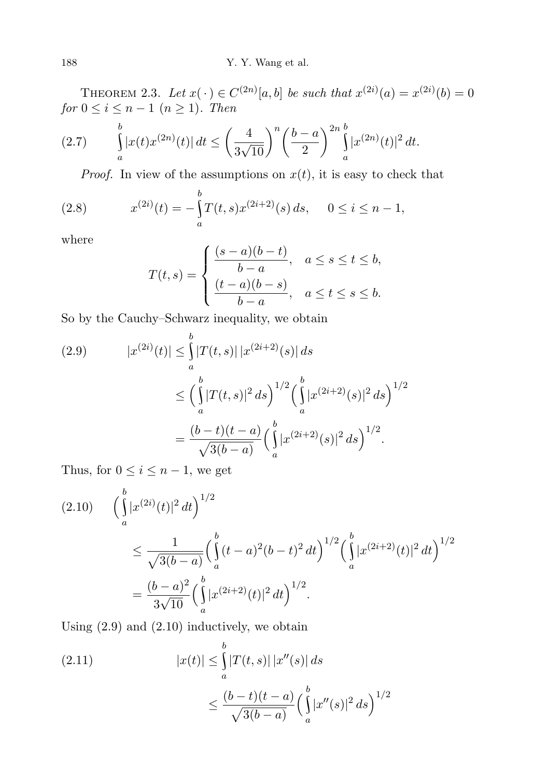THEOREM 2.3. Let  $x(\cdot) \in C^{(2n)}[a, b]$  be such that  $x^{(2i)}(a) = x^{(2i)}(b) = 0$ for  $0 \leq i \leq n-1$   $(n \geq 1)$ . Then

$$
(2.7) \qquad \int\limits_a^b |x(t)x^{(2n)}(t)| \, dt \le \left(\frac{4}{3\sqrt{10}}\right)^n \left(\frac{b-a}{2}\right)^{2n} \int\limits_a^{b} |x^{(2n)}(t)|^2 \, dt.
$$

*Proof.* In view of the assumptions on  $x(t)$ , it is easy to check that

(2.8) 
$$
x^{(2i)}(t) = -\int_{a}^{b} T(t,s)x^{(2i+2)}(s) ds, \quad 0 \le i \le n-1,
$$

where

$$
T(t,s) = \begin{cases} \frac{(s-a)(b-t)}{b-a}, & a \le s \le t \le b, \\ \frac{(t-a)(b-s)}{b-a}, & a \le t \le s \le b. \end{cases}
$$

So by the Cauchy–Schwarz inequality, we obtain

(2.9) 
$$
|x^{(2i)}(t)| \leq \int_{a}^{b} |T(t,s)| |x^{(2i+2)}(s)| ds
$$
  

$$
\leq \left(\int_{a}^{b} |T(t,s)|^2 ds\right)^{1/2} \left(\int_{a}^{b} |x^{(2i+2)}(s)|^2 ds\right)^{1/2}
$$
  

$$
= \frac{(b-t)(t-a)}{\sqrt{3(b-a)}} \left(\int_{a}^{b} |x^{(2i+2)}(s)|^2 ds\right)^{1/2}.
$$

Thus, for  $0 \leq i \leq n-1$ , we get

$$
(2.10) \qquad \left(\int_{a}^{b} |x^{(2i)}(t)|^2 dt\right)^{1/2} \n\leq \frac{1}{\sqrt{3(b-a)}} \left(\int_{a}^{b} (t-a)^2 (b-t)^2 dt\right)^{1/2} \left(\int_{a}^{b} |x^{(2i+2)}(t)|^2 dt\right)^{1/2} \n= \frac{(b-a)^2}{3\sqrt{10}} \left(\int_{a}^{b} |x^{(2i+2)}(t)|^2 dt\right)^{1/2}.
$$

Using  $(2.9)$  and  $(2.10)$  inductively, we obtain

(2.11) 
$$
|x(t)| \leq \int_{a}^{b} |T(t,s)| |x''(s)| ds
$$

$$
\leq \frac{(b-t)(t-a)}{\sqrt{3(b-a)}} \left(\int_{a}^{b} |x''(s)|^2 ds\right)^{1/2}
$$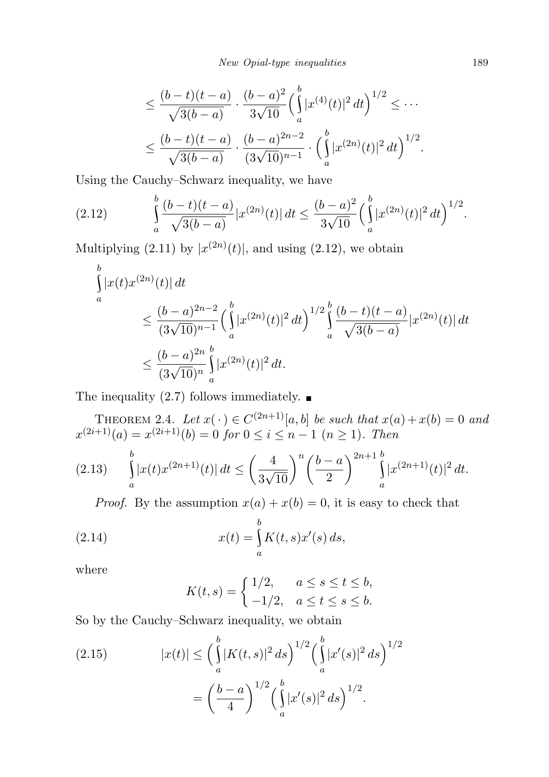$$
\leq \frac{(b-t)(t-a)}{\sqrt{3(b-a)}} \cdot \frac{(b-a)^2}{3\sqrt{10}} \left(\int_a^b |x^{(4)}(t)|^2 dt\right)^{1/2} \leq \cdots
$$
  

$$
\leq \frac{(b-t)(t-a)}{\sqrt{3(b-a)}} \cdot \frac{(b-a)^{2n-2}}{(3\sqrt{10})^{n-1}} \cdot \left(\int_a^b |x^{(2n)}(t)|^2 dt\right)^{1/2}.
$$

Using the Cauchy–Schwarz inequality, we have

$$
(2.12) \qquad \int_{a}^{b} \frac{(b-t)(t-a)}{\sqrt{3(b-a)}} |x^{(2n)}(t)| dt \leq \frac{(b-a)^2}{3\sqrt{10}} \left(\int_{a}^{b} |x^{(2n)}(t)|^2 dt\right)^{1/2}.
$$

Multiplying  $(2.11)$  by  $|x^{(2n)}(t)|$ , and using  $(2.12)$ , we obtain

$$
\int_{a}^{b} |x(t)x^{(2n)}(t)| dt
$$
\n
$$
\leq \frac{(b-a)^{2n-2}}{(3\sqrt{10})^{n-1}} \left(\int_{a}^{b} |x^{(2n)}(t)|^2 dt\right)^{1/2} \int_{a}^{b} \frac{(b-t)(t-a)}{\sqrt{3(b-a)}} |x^{(2n)}(t)| dt
$$
\n
$$
\leq \frac{(b-a)^{2n}}{(3\sqrt{10})^n} \int_{a}^{b} |x^{(2n)}(t)|^2 dt.
$$

The inequality (2.7) follows immediately.  $\blacksquare$ 

THEOREM 2.4. Let  $x(\cdot) \in C^{(2n+1)}[a, b]$  be such that  $x(a) + x(b) = 0$  and  $x^{(2i+1)}(a) = x^{(2i+1)}(b) = 0$  for  $0 \le i \le n-1$   $(n \ge 1)$ . Then

$$
(2.13) \qquad \int_{a}^{b} |x(t)x^{(2n+1)}(t)| \, dt \le \left(\frac{4}{3\sqrt{10}}\right)^n \left(\frac{b-a}{2}\right)^{2n+1} \int_{a}^{b} |x^{(2n+1)}(t)|^2 \, dt.
$$

*Proof.* By the assumption  $x(a) + x(b) = 0$ , it is easy to check that

(2.14) 
$$
x(t) = \int_{a}^{b} K(t, s) x'(s) ds,
$$

where

$$
K(t,s) = \begin{cases} 1/2, & a \le s \le t \le b, \\ -1/2, & a \le t \le s \le b. \end{cases}
$$

So by the Cauchy–Schwarz inequality, we obtain

(2.15) 
$$
|x(t)| \leq \left(\int_a^b |K(t,s)|^2 ds\right)^{1/2} \left(\int_a^b |x'(s)|^2 ds\right)^{1/2}
$$

$$
= \left(\frac{b-a}{4}\right)^{1/2} \left(\int_a^b |x'(s)|^2 ds\right)^{1/2}.
$$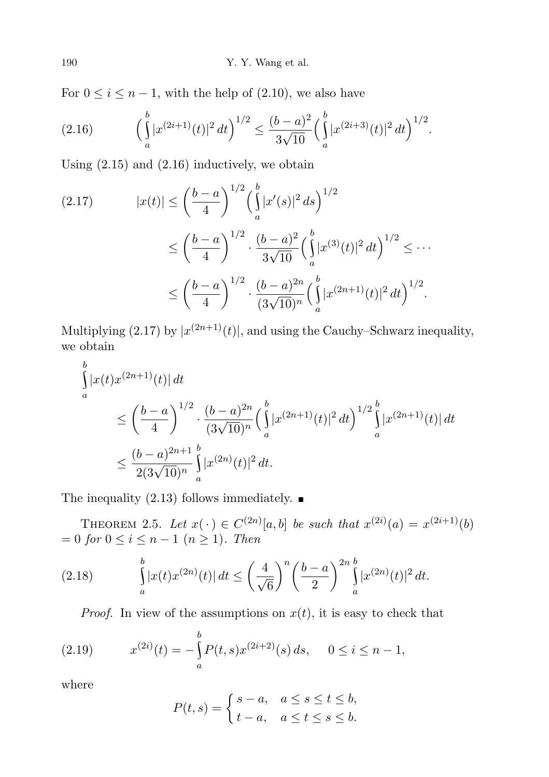For  $0 \le i \le n-1$ , with the help of  $(2.10)$ , we also have

$$
(2.16)\qquad \left(\int_a^b |x^{(2i+1)}(t)|^2 dt\right)^{1/2} \le \frac{(b-a)^2}{3\sqrt{10}} \left(\int_a^b |x^{(2i+3)}(t)|^2 dt\right)^{1/2}.
$$

Using (2.15) and (2.16) inductively, we obtain

$$
(2.17) \qquad |x(t)| \le \left(\frac{b-a}{4}\right)^{1/2} \left(\int_a^b |x'(s)|^2 ds\right)^{1/2}
$$

$$
\le \left(\frac{b-a}{4}\right)^{1/2} \cdot \frac{(b-a)^2}{3\sqrt{10}} \left(\int_a^b |x^{(3)}(t)|^2 dt\right)^{1/2} \le \cdots
$$

$$
\le \left(\frac{b-a}{4}\right)^{1/2} \cdot \frac{(b-a)^{2n}}{(3\sqrt{10})^n} \left(\int_a^b |x^{(2n+1)}(t)|^2 dt\right)^{1/2}.
$$

Multiplying (2.17) by  $|x^{(2n+1)}(t)|$ , and using the Cauchy–Schwarz inequality, we obtain

$$
\int_{a}^{b} |x(t)x^{(2n+1)}(t)| dt
$$
\n
$$
\leq \left(\frac{b-a}{4}\right)^{1/2} \cdot \frac{(b-a)^{2n}}{(3\sqrt{10})^n} \left(\int_{a}^{b} |x^{(2n+1)}(t)|^2 dt\right)^{1/2} \int_{a}^{b} |x^{(2n+1)}(t)| dt
$$
\n
$$
\leq \frac{(b-a)^{2n+1}}{2(3\sqrt{10})^n} \int_{a}^{b} |x^{(2n)}(t)|^2 dt.
$$

The inequality (2.13) follows immediately.  $\blacksquare$ 

THEOREM 2.5. Let  $x(\cdot) \in C^{(2n)}[a, b]$  be such that  $x^{(2i)}(a) = x^{(2i+1)}(b)$  $= 0$  for  $0 \leq i \leq n-1$   $(n \geq 1)$ . Then

(2.18) 
$$
\int_{a}^{b} |x(t)x^{(2n)}(t)| dt \leq \left(\frac{4}{\sqrt{6}}\right)^n \left(\frac{b-a}{2}\right)^{2n} \int_{a}^{b} |x^{(2n)}(t)|^2 dt.
$$

*Proof.* In view of the assumptions on  $x(t)$ , it is easy to check that

(2.19) 
$$
x^{(2i)}(t) = -\int_{a}^{b} P(t,s)x^{(2i+2)}(s) ds, \quad 0 \le i \le n-1,
$$

where

$$
P(t,s) = \begin{cases} s-a, & a \le s \le t \le b, \\ t-a, & a \le t \le s \le b. \end{cases}
$$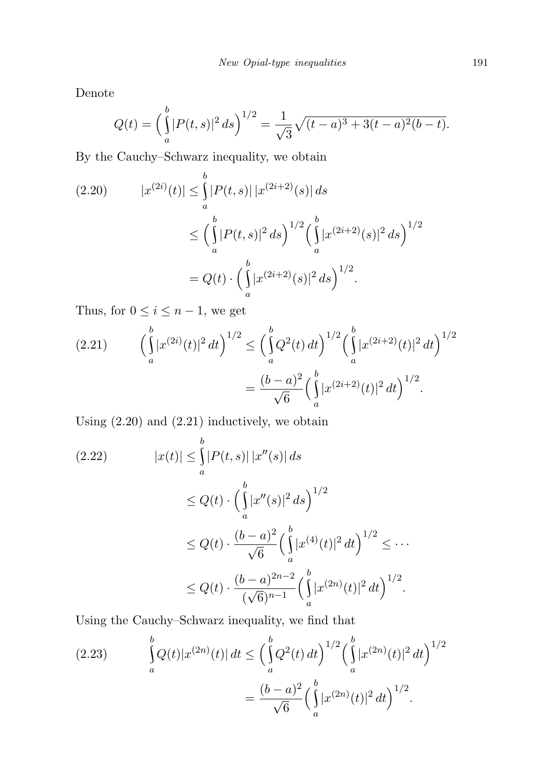Denote

$$
Q(t) = \left(\int_a^b |P(t,s)|^2 ds\right)^{1/2} = \frac{1}{\sqrt{3}}\sqrt{(t-a)^3 + 3(t-a)^2(b-t)}.
$$

By the Cauchy–Schwarz inequality, we obtain

$$
(2.20) \t |x^{(2i)}(t)| \leq \int_{a}^{b} |P(t,s)| |x^{(2i+2)}(s)| ds
$$
  

$$
\leq \left(\int_{a}^{b} |P(t,s)|^2 ds\right)^{1/2} \left(\int_{a}^{b} |x^{(2i+2)}(s)|^2 ds\right)^{1/2}
$$
  

$$
= Q(t) \cdot \left(\int_{a}^{b} |x^{(2i+2)}(s)|^2 ds\right)^{1/2}.
$$

Thus, for  $0\leq i\leq n-1,$  we get

$$
(2.21) \qquad \left(\int_a^b |x^{(2i)}(t)|^2 dt\right)^{1/2} \le \left(\int_a^b Q^2(t) dt\right)^{1/2} \left(\int_a^b |x^{(2i+2)}(t)|^2 dt\right)^{1/2}
$$

$$
= \frac{(b-a)^2}{\sqrt{6}} \left(\int_a^b |x^{(2i+2)}(t)|^2 dt\right)^{1/2}.
$$

Using (2.20) and (2.21) inductively, we obtain

$$
(2.22) \qquad |x(t)| \leq \int_{a}^{b} |P(t,s)| |x''(s)| ds
$$
  
\n
$$
\leq Q(t) \cdot \left(\int_{a}^{b} |x''(s)|^2 ds\right)^{1/2}
$$
  
\n
$$
\leq Q(t) \cdot \frac{(b-a)^2}{\sqrt{6}} \left(\int_{a}^{b} |x^{(4)}(t)|^2 dt\right)^{1/2} \leq \cdots
$$
  
\n
$$
\leq Q(t) \cdot \frac{(b-a)^{2n-2}}{(\sqrt{6})^{n-1}} \left(\int_{a}^{b} |x^{(2n)}(t)|^2 dt\right)^{1/2}.
$$

Using the Cauchy–Schwarz inequality, we find that

(2.23) 
$$
\int_{a}^{b} Q(t) |x^{(2n)}(t)| dt \leq \left( \int_{a}^{b} Q^2(t) dt \right)^{1/2} \left( \int_{a}^{b} |x^{(2n)}(t)|^2 dt \right)^{1/2}
$$

$$
= \frac{(b-a)^2}{\sqrt{6}} \left( \int_{a}^{b} |x^{(2n)}(t)|^2 dt \right)^{1/2}.
$$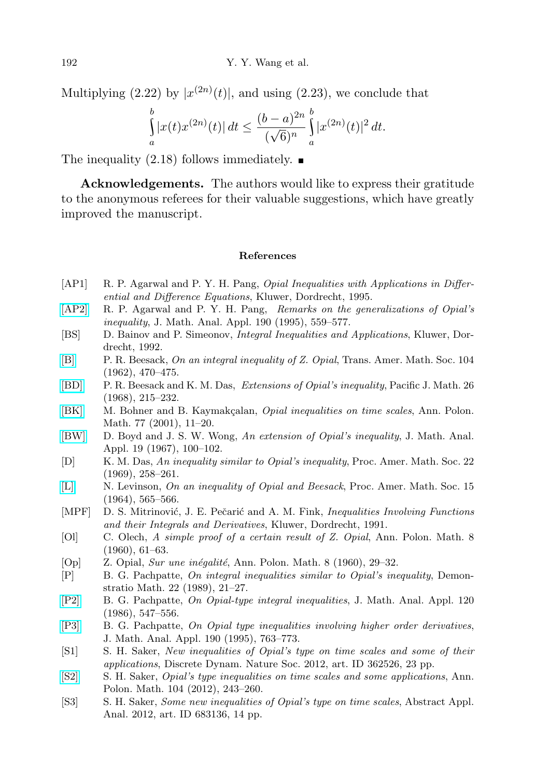Multiplying  $(2.22)$  by  $|x^{(2n)}(t)|$ , and using  $(2.23)$ , we conclude that

$$
\int_{a}^{b} |x(t)x^{(2n)}(t)| dt \le \frac{(b-a)^{2n}}{(\sqrt{6})^n} \int_{a}^{b} |x^{(2n)}(t)|^2 dt.
$$

The inequality  $(2.18)$  follows immediately.

Acknowledgements. The authors would like to express their gratitude to the anonymous referees for their valuable suggestions, which have greatly improved the manuscript.

## References

- [AP1] R. P. Agarwal and P. Y. H. Pang, *Opial Inequalities with Applications in Differ*ential and Difference Equations, Kluwer, Dordrecht, 1995.
- [\[AP2\]](http://dx.doi.org/10.1006/jmaa.1995.1091) R. P. Agarwal and P. Y. H. Pang, Remarks on the generalizations of Opial's inequality, J. Math. Anal. Appl. 190 (1995), 559–577.
- [BS] D. Bainov and P. Simeonov, Integral Inequalities and Applications, Kluwer, Dordrecht, 1992.
- [\[B\]](http://dx.doi.org/10.1090/S0002-9947-1962-0139706-1) P. R. Beesack, On an integral inequality of Z. Opial, Trans. Amer. Math. Soc. 104 (1962), 470–475.
- [\[BD\]](http://dx.doi.org/10.2140/pjm.1968.26.215) P. R. Beesack and K. M. Das, Extensions of Opial's inequality, Pacific J. Math. 26 (1968), 215–232.
- [\[BK\]](http://dx.doi.org/10.4064/ap77-1-2) M. Bohner and B. Kaymakçalan, *Opial inequalities on time scales*, Ann. Polon. Math. 77 (2001), 11–20.
- [\[BW\]](http://dx.doi.org/10.1016/0022-247X(67)90024-8) D. Boyd and J. S. W. Wong, An extension of Opial's inequality, J. Math. Anal. Appl. 19 (1967), 100–102.
- <span id="page-7-1"></span>[D] K. M. Das, An inequality similar to Opial's inequality, Proc. Amer. Math. Soc. 22 (1969), 258–261.
- [\[L\]](http://dx.doi.org/10.1090/S0002-9939-1964-0166315-8) N. Levinson, On an inequality of Opial and Beesack, Proc. Amer. Math. Soc. 15 (1964), 565–566.
- [MPF] D. S. Mitrinović, J. E. Pečarić and A. M. Fink, *Inequalities Involving Functions* and their Integrals and Derivatives, Kluwer, Dordrecht, 1991.
- [Ol] C. Olech, A simple proof of a certain result of Z. Opial, Ann. Polon. Math. 8 (1960), 61–63.
- <span id="page-7-0"></span>[Op]  $Z.$  Opial, *Sur une inégalité*, Ann. Polon. Math. 8 (1960), 29–32.
- [P] B. G. Pachpatte, On integral inequalities similar to Opial's inequality, Demonstratio Math. 22 (1989), 21–27.
- [\[P2\]](http://dx.doi.org/10.1016/0022-247X(86)90176-9) B. G. Pachpatte, On Opial-type integral inequalities, J. Math. Anal. Appl. 120 (1986), 547–556.
- [\[P3\]](http://dx.doi.org/10.1006/jmaa.1995.1109) B. G. Pachpatte, On Opial type inequalities involving higher order derivatives, J. Math. Anal. Appl. 190 (1995), 763–773.
- [S1] S. H. Saker, New inequalities of Opial's type on time scales and some of their applications, Discrete Dynam. Nature Soc. 2012, art. ID 362526, 23 pp.
- [\[S2\]](http://dx.doi.org/10.4064/ap104-3-3) S. H. Saker, Opial's type inequalities on time scales and some applications, Ann. Polon. Math. 104 (2012), 243–260.
- [S3] S. H. Saker, Some new inequalities of Opial's type on time scales, Abstract Appl. Anal. 2012, art. ID 683136, 14 pp.